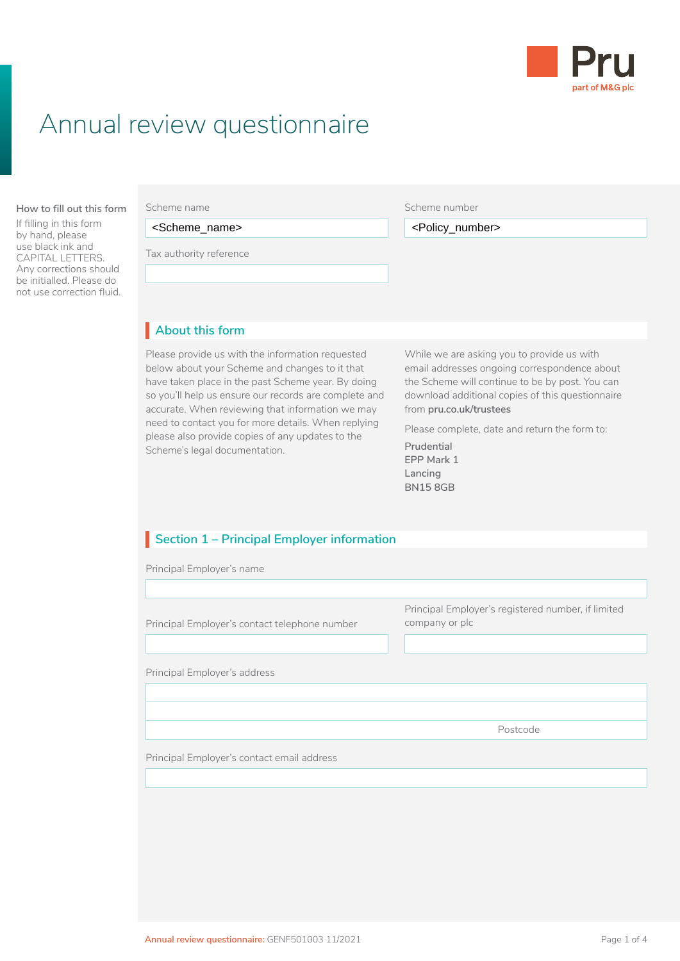

# Annual review questionnaire

#### **About this form How to fill out this form**

If filling in this form by hand, please use black ink and CAPITAL LETTERS. Any corrections should be initialled. Please do not use correction fluid.

<Scheme\_name>

• your Fund Guide

Tax authority reference<br>————————————————————

Scheme number

<Scheme\_name> <Policy\_number>

#### • Client Agreement They have important information about the risks, benefits, costs and charges of the product and the funds to **About this form** I

Please provide us with the information requested **While we** a below about your Scheme and changes to it that have taken place in the past Scheme year. By doing so you'll help us ensure our records are complete and accurate. When reviewing that information we may need to contact you for more details. When replying please also provide copies of any updates to the Scheme's legal documentation.

While we are asking you to provide us with email addresses ongoing correspondence about the Scheme will continue to be by post. You can download additional copies of this questionnaire from **[pru.co.uk/trustees](https://www.pru.co.uk/trustees/)**

Please complete, date and return the form to:

**Prudential EPP Mark 1 Lancing BN15 8GB**

## **Section 1 – Principal Employer information**

Principal Employer's name

| Principal Employer's contact telephone number | Principal Employer's registered number, if limited<br>company or plc |
|-----------------------------------------------|----------------------------------------------------------------------|
| Principal Employer's address                  |                                                                      |
|                                               |                                                                      |
|                                               |                                                                      |
|                                               | Postcode                                                             |
| Principal Employer's contact email address    |                                                                      |
|                                               |                                                                      |
|                                               |                                                                      |
|                                               |                                                                      |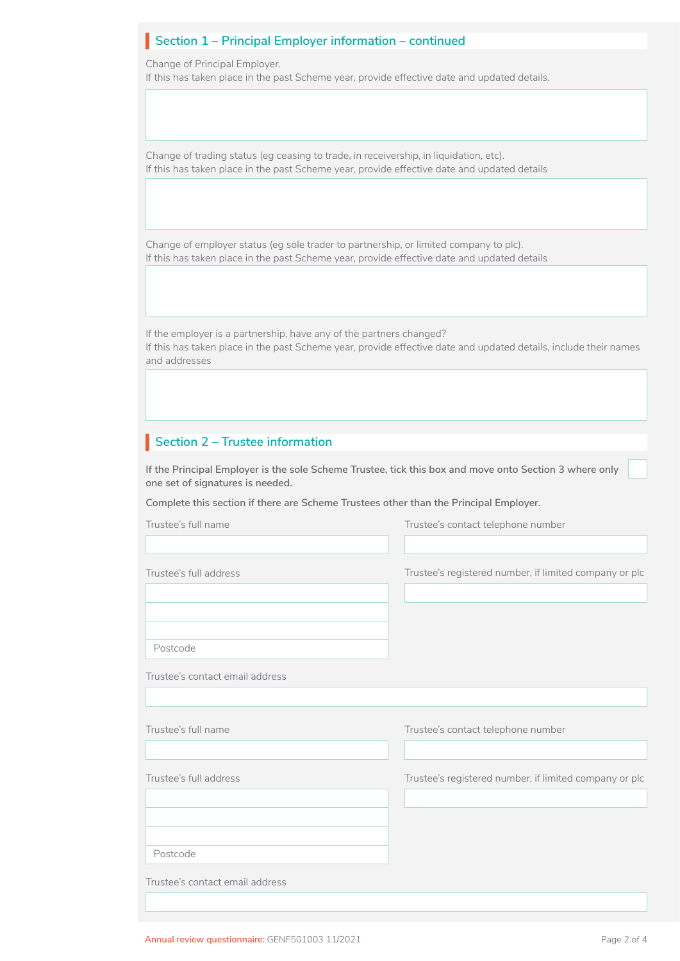## **Section 1 – Principal Employer information – continued**

Change of Principal Employer.

If this has taken place in the past Scheme year, provide effective date and updated details.

Change of trading status (eg ceasing to trade, in receivership, in liquidation, etc). If this has taken place in the past Scheme year, provide effective date and updated details

Change of employer status (eg sole trader to partnership, or limited company to plc). If this has taken place in the past Scheme year, provide effective date and updated details

If the employer is a partnership, have any of the partners changed?

If this has taken place in the past Scheme year, provide effective date and updated details, include their names and addresses

## **Section 2 – Trustee information**

**If the Principal Employer is the sole Scheme Trustee, tick this box and move onto Section 3 where only one set of signatures is needed.** 

**Complete this section if there are Scheme Trustees other than the Principal Employer.**

| Trustee's full name             | Trustee's contact telephone number                     |
|---------------------------------|--------------------------------------------------------|
|                                 |                                                        |
| Trustee's full address          | Trustee's registered number, if limited company or plc |
|                                 |                                                        |
| Postcode                        |                                                        |
| Trustee's contact email address |                                                        |
|                                 |                                                        |
| Trustee's full name             | Trustee's contact telephone number                     |
|                                 |                                                        |
| Trustee's full address          | Trustee's registered number, if limited company or plc |
|                                 |                                                        |
|                                 |                                                        |
| Postcode                        |                                                        |
|                                 |                                                        |
| Trustee's contact email address |                                                        |

 $\Box$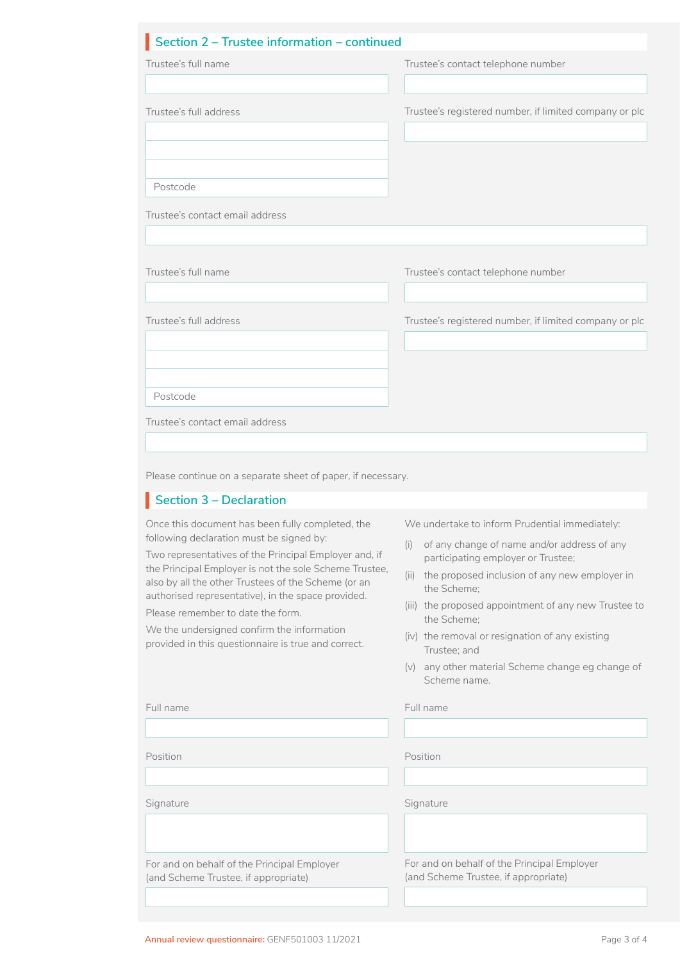### **Section 2 – Trustee information – continued**

| Section 2 - Trustee information - continued                                                                                                                                                                                                                                                                                                                                                                                                                            |                                                                                                                                                                                                                                                                                                                                                                                                                             |
|------------------------------------------------------------------------------------------------------------------------------------------------------------------------------------------------------------------------------------------------------------------------------------------------------------------------------------------------------------------------------------------------------------------------------------------------------------------------|-----------------------------------------------------------------------------------------------------------------------------------------------------------------------------------------------------------------------------------------------------------------------------------------------------------------------------------------------------------------------------------------------------------------------------|
| Trustee's full name                                                                                                                                                                                                                                                                                                                                                                                                                                                    | Trustee's contact telephone number                                                                                                                                                                                                                                                                                                                                                                                          |
|                                                                                                                                                                                                                                                                                                                                                                                                                                                                        |                                                                                                                                                                                                                                                                                                                                                                                                                             |
| Trustee's full address                                                                                                                                                                                                                                                                                                                                                                                                                                                 | Trustee's registered number, if limited company or plc                                                                                                                                                                                                                                                                                                                                                                      |
| Postcode                                                                                                                                                                                                                                                                                                                                                                                                                                                               |                                                                                                                                                                                                                                                                                                                                                                                                                             |
| Trustee's contact email address                                                                                                                                                                                                                                                                                                                                                                                                                                        |                                                                                                                                                                                                                                                                                                                                                                                                                             |
| Trustee's full name                                                                                                                                                                                                                                                                                                                                                                                                                                                    | Trustee's contact telephone number                                                                                                                                                                                                                                                                                                                                                                                          |
| Trustee's full address                                                                                                                                                                                                                                                                                                                                                                                                                                                 | Trustee's registered number, if limited company or plc                                                                                                                                                                                                                                                                                                                                                                      |
|                                                                                                                                                                                                                                                                                                                                                                                                                                                                        |                                                                                                                                                                                                                                                                                                                                                                                                                             |
| Postcode                                                                                                                                                                                                                                                                                                                                                                                                                                                               |                                                                                                                                                                                                                                                                                                                                                                                                                             |
| Trustee's contact email address                                                                                                                                                                                                                                                                                                                                                                                                                                        |                                                                                                                                                                                                                                                                                                                                                                                                                             |
| Please continue on a separate sheet of paper, if necessary.                                                                                                                                                                                                                                                                                                                                                                                                            |                                                                                                                                                                                                                                                                                                                                                                                                                             |
| Section 3 - Declaration                                                                                                                                                                                                                                                                                                                                                                                                                                                |                                                                                                                                                                                                                                                                                                                                                                                                                             |
| Once this document has been fully completed, the<br>following declaration must be signed by:<br>Two representatives of the Principal Employer and, if<br>the Principal Employer is not the sole Scheme Trustee,<br>also by all the other Trustees of the Scheme (or an<br>authorised representative), in the space provided.<br>Please remember to date the form.<br>We the undersigned confirm the information<br>provided in this questionnaire is true and correct. | We undertake to inform Prudential immediately:<br>(i) of any change of name and/or address of any<br>participating employer or Trustee;<br>(ii) the proposed inclusion of any new employer in<br>the Scheme;<br>(iii) the proposed appointment of any new Trustee to<br>the Scheme;<br>(iv) the removal or resignation of any existing<br>Trustee; and<br>(v) any other material Scheme change eg change of<br>Scheme name. |
| Full name                                                                                                                                                                                                                                                                                                                                                                                                                                                              | Full name                                                                                                                                                                                                                                                                                                                                                                                                                   |
|                                                                                                                                                                                                                                                                                                                                                                                                                                                                        |                                                                                                                                                                                                                                                                                                                                                                                                                             |
| Position                                                                                                                                                                                                                                                                                                                                                                                                                                                               | Position                                                                                                                                                                                                                                                                                                                                                                                                                    |
| Signature                                                                                                                                                                                                                                                                                                                                                                                                                                                              | Signature                                                                                                                                                                                                                                                                                                                                                                                                                   |
| For and on behalf of the Principal Employer                                                                                                                                                                                                                                                                                                                                                                                                                            | For and on behalf of the Principal Employer                                                                                                                                                                                                                                                                                                                                                                                 |

(and Scheme Trustee, if appropriate)

(and Scheme Trustee, if appropriate)